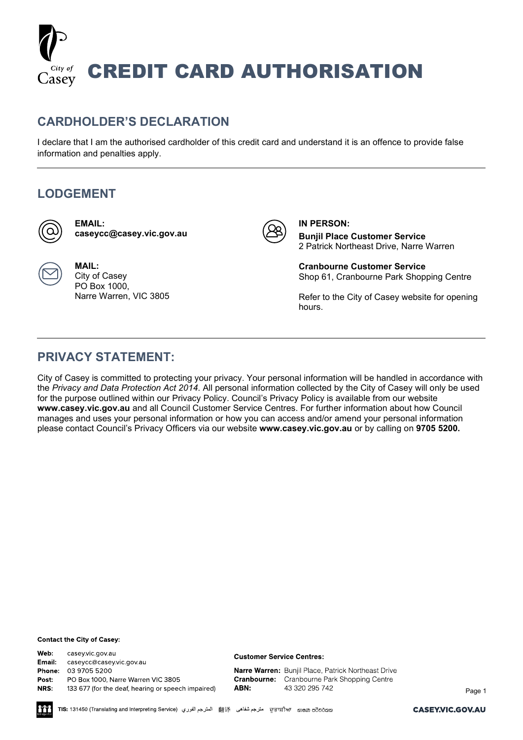

## **CARDHOLDER'S DECLARATION**

I declare that I am the authorised cardholder of this credit card and understand it is an offence to provide false information and penalties apply.

## **LODGEMENT**

**MAIL:** City of Casey PO Box 1000,



**EMAIL: [caseycc@casey.vic.gov.au](mailto:caseycc@casey.vic.gov.au)**

Narre Warren, VIC 3805



**IN PERSON: Bunjil Place Customer Service** 2 Patrick Northeast Drive, Narre Warren

**Cranbourne Customer Service** Shop 61, Cranbourne Park Shopping Centre

Refer to the City of Casey website for opening hours.

# **PRIVACY STATEMENT:**

City of Casey is committed to protecting your privacy. Your personal information will be handled in accordance with the *Privacy and Data Protection Act 2014*. All personal information collected by the City of Casey will only be used for the purpose outlined within our Privacy Policy. Council's Privacy Policy is available from our website **[www.casey.vic.gov.au](http://www.casey.vic.gov.au/)** and all Council Customer Service Centres. For further information about how Council manages and uses your personal information or how you can access and/or amend your personal information please contact Council's Privacy Officers via our website **[www.casey.vic.gov.au](http://www.casey.vic.gov.au/)** or by calling on **9705 5200.**

### **Contact the City of Casey:**

Web: casey.vic.gov.au **Email:** caseycc@casey.vic.gov.au Phone: 03 9705 5200 PO Box 1000, Narre Warren VIC 3805 Post: NRS: 133 677 (for the deaf, hearing or speech impaired)

#### **Customer Service Centres:**

Narre Warren: Bunjil Place, Patrick Northeast Drive **Cranbourne:** Cranbourne Park Shopping Centre ABN: 43 320 295 742

Page 1